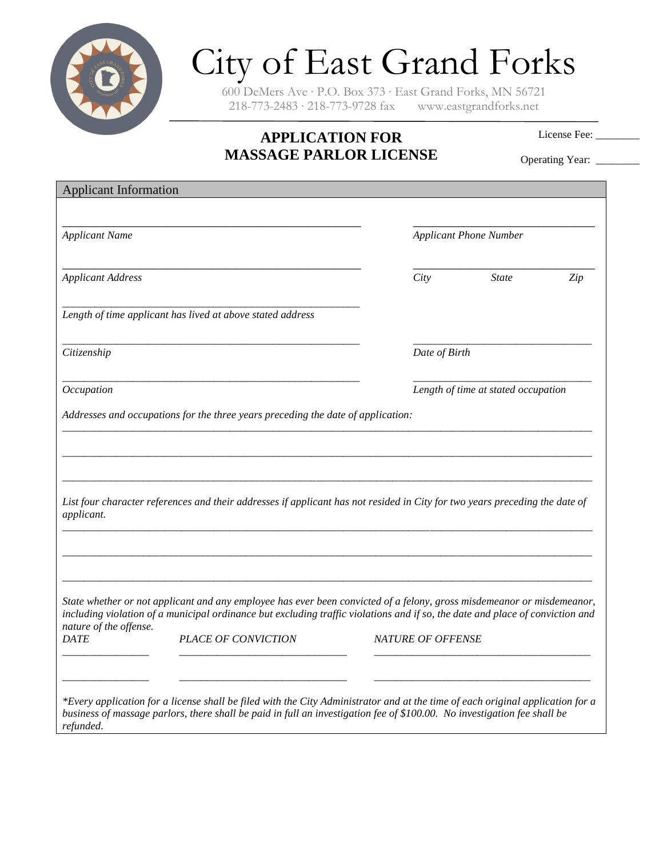

## City of East Grand Forks

600 DeMers Ave ∙ P.O. Box 373 ∙ East Grand Forks, MN 56721 218-773-2483 ∙ 218-773-9728 fax www.eastgrandforks.net

## **APPLICATION FOR MASSAGE PARLOR LICENSE**

License Fee:

Operating Year: \_\_\_\_\_\_\_

| <b>Applicant Information</b> |                                                                                                                                                                                                                                                         |                          |                               |     |  |
|------------------------------|---------------------------------------------------------------------------------------------------------------------------------------------------------------------------------------------------------------------------------------------------------|--------------------------|-------------------------------|-----|--|
| <b>Applicant Name</b>        |                                                                                                                                                                                                                                                         |                          | <b>Applicant Phone Number</b> |     |  |
| <b>Applicant Address</b>     |                                                                                                                                                                                                                                                         | City                     | <b>State</b>                  | Zip |  |
|                              | Length of time applicant has lived at above stated address                                                                                                                                                                                              |                          |                               |     |  |
| Citizenship                  |                                                                                                                                                                                                                                                         |                          | Date of Birth                 |     |  |
| Occupation                   | Length of time at stated occupation                                                                                                                                                                                                                     |                          |                               |     |  |
|                              | Addresses and occupations for the three years preceding the date of application:                                                                                                                                                                        |                          |                               |     |  |
| applicant.                   | List four character references and their addresses if applicant has not resided in City for two years preceding the date of                                                                                                                             |                          |                               |     |  |
| nature of the offense.       | State whether or not applicant and any employee has ever been convicted of a felony, gross misdemeanor or misdemeanor,<br>including violation of a municipal ordinance but excluding traffic violations and if so, the date and place of conviction and |                          |                               |     |  |
| <b>DATE</b>                  | <b>PLACE OF CONVICTION</b>                                                                                                                                                                                                                              | <b>NATURE OF OFFENSE</b> |                               |     |  |
|                              | *Every application for a license shall be filed with the City Administrator and at the time of each original application for a                                                                                                                          |                          |                               |     |  |
| refunded.                    | business of massage parlors, there shall be paid in full an investigation fee of \$100.00. No investigation fee shall be                                                                                                                                |                          |                               |     |  |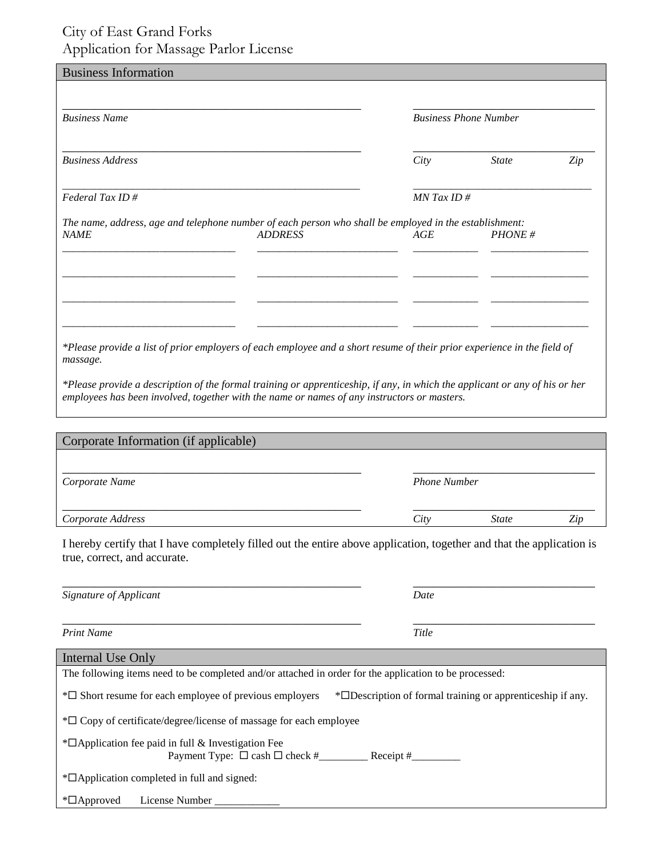## City of East Grand Forks Application for Massage Parlor License

| <b>Business Name</b>    |                                                                                                                          | <b>Business Phone Number</b> |               |     |  |
|-------------------------|--------------------------------------------------------------------------------------------------------------------------|------------------------------|---------------|-----|--|
| <b>Business Address</b> |                                                                                                                          | City                         | <b>State</b>  | Zip |  |
| Federal Tax ID#         |                                                                                                                          |                              | $MN$ Tax ID # |     |  |
|                         |                                                                                                                          |                              |               |     |  |
|                         | The name, address, age and telephone number of each person who shall be employed in the establishment:<br><b>ADDRESS</b> | AGE                          | PHONE#        |     |  |
| <b>NAME</b>             |                                                                                                                          |                              |               |     |  |

*employees has been involved, together with the name or names of any instructors or masters.*

| Corporate Information (if applicable) |                     |              |     |
|---------------------------------------|---------------------|--------------|-----|
| Corporate Name                        | <b>Phone Number</b> |              |     |
| Corporate Address                     | City                | <i>State</i> | Zip |

I hereby certify that I have completely filled out the entire above application, together and that the application is true, correct, and accurate.

\_\_\_\_\_\_\_\_\_\_\_\_\_\_\_\_\_\_\_\_\_\_\_\_\_\_\_\_\_\_\_\_\_\_\_\_\_\_\_\_\_\_\_\_\_\_ \_\_\_\_\_\_\_\_\_\_\_\_\_\_\_\_\_\_\_\_\_\_\_\_\_\_\_\_

| Signature of Applicant                                                                                 | Date                                                                    |  |  |  |  |
|--------------------------------------------------------------------------------------------------------|-------------------------------------------------------------------------|--|--|--|--|
| <b>Print Name</b>                                                                                      | Title                                                                   |  |  |  |  |
| Internal Use Only                                                                                      |                                                                         |  |  |  |  |
| The following items need to be completed and/or attached in order for the application to be processed: |                                                                         |  |  |  |  |
| $\overline{\mathcal{F}}$ Short resume for each employee of previous employers                          | * <sup>D</sup> Description of formal training or apprenticeship if any. |  |  |  |  |
| $*\Box$ Copy of certificate/degree/license of massage for each employee                                |                                                                         |  |  |  |  |
| $*$ $\Box$ Application fee paid in full & Investigation Fee                                            |                                                                         |  |  |  |  |
| * <sup>D</sup> Application completed in full and signed:                                               |                                                                         |  |  |  |  |
| License Number<br>$\mathbb{Z}$ Approved                                                                |                                                                         |  |  |  |  |